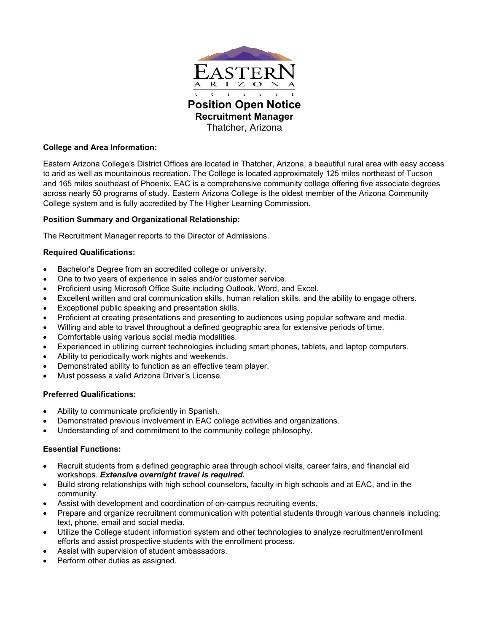

# **College and Area Information:**

Eastern Arizona College's District Offices are located in Thatcher, Arizona, a beautiful rural area with easy access to arid as well as mountainous recreation. The College is located approximately 125 miles northeast of Tucson and 165 miles southeast of Phoenix. EAC is a comprehensive community college offering five associate degrees across nearly 50 programs of study. Eastern Arizona College is the oldest member of the Arizona Community College system and is fully accredited by The Higher Learning Commission.

## **Position Summary and Organizational Relationship:**

The Recruitment Manager reports to the Director of Admissions.

# **Required Qualifications:**

- Bachelor's Degree from an accredited college or university.
- One to two years of experience in sales and/or customer service.
- Proficient using Microsoft Office Suite including Outlook, Word, and Excel.
- Excellent written and oral communication skills, human relation skills, and the ability to engage others.
- Exceptional public speaking and presentation skills.
- Proficient at creating presentations and presenting to audiences using popular software and media.
- Willing and able to travel throughout a defined geographic area for extensive periods of time.
- Comfortable using various social media modalities.
- Experienced in utilizing current technologies including smart phones, tablets, and laptop computers.
- Ability to periodically work nights and weekends.
- Demonstrated ability to function as an effective team player.
- Must possess a valid Arizona Driver's License.

### **Preferred Qualifications:**

- Ability to communicate proficiently in Spanish.
- Demonstrated previous involvement in EAC college activities and organizations.
- Understanding of and commitment to the community college philosophy.

### **Essential Functions:**

- Recruit students from a defined geographic area through school visits, career fairs, and financial aid workshops. *Extensive overnight travel is required.*
- Build strong relationships with high school counselors, faculty in high schools and at EAC, and in the community.
- Assist with development and coordination of on-campus recruiting events.
- Prepare and organize recruitment communication with potential students through various channels including: text, phone, email and social media.
- Utilize the College student information system and other technologies to analyze recruitment/enrollment efforts and assist prospective students with the enrollment process.
- Assist with supervision of student ambassadors.
- Perform other duties as assigned.